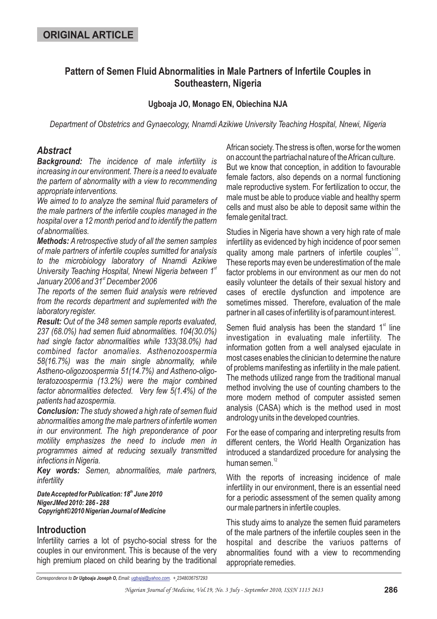# **Pattern of Semen Fluid Abnormalities in Male Partners of Infertile Couples in Southeastern, Nigeria**

### **Ugboaja JO, Monago EN, Obiechina NJA**

*Department of Obstetrics and Gynaecology, Nnamdi Azikiwe University Teaching Hospital, Nnewi, Nigeria*

## *Abstract*

*Background: The incidence of male infertility is increasing in our environment. There is a need to evaluate the partern of abnormality with a view to recommending appropriate interventions.*

*We aimed to to analyze the seminal fluid parameters of the male partners of the infertile couples managed in the hospital over a 12 month period and to identify the pattern of abnormalities.*

*Methods: A retrospective study of all the semen samples of male partners of infertile couples sumitted for analysis to the microbiology laboratory of Nnamdi Azikiwe* University Teaching Hospital, Nnewi Nigeria between 1<sup>st</sup> *January 2006 and 31 December 2006 st*

*The reports of the semen fluid analysis were retrieved from the records department and suplemented with the laboratory register.*

*Result: Out of the 348 semen sample reports evaluated, 237 (68.0%) had semen fluid abnormalities. 104(30.0%) had single factor abnormalities while 133(38.0%) had combined factor anomalies. Asthenozoospermia 58(16.7%) was the main single abnormality, while Astheno-oligozoospermia 51(14.7%) and Astheno-oligoteratozoospermia (13.2%) were the major combined factor abnormalities detected. Very few 5(1.4%) of the patients had azospermia.*

*Conclusion: The study showed a high rate of semen fluid abnormalities among the male partners of infertile women in our environment. The high preponderance of poor motility emphasizes the need to include men in programmes aimed at reducing sexually transmitted infections in Nigeria.*

*Key words: Semen, abnormalities, male partners, infertility*

*DateAccepted for Publication: 18 June 2010 th NigerJMed 2010: 286 - 288 Copyright©2010 Nigerian Journal of Medicine*

### **Introduction**

Infertility carries a lot of psycho-social stress for the couples in our environment. This is because of the very high premium placed on child bearing by the traditional African society. The stress is often, worse for the women on account the partriachal nature of theAfrican culture. But we know that conception, in addition to favourable female factors, also depends on a normal functioning male reproductive system. For fertilization to occur, the male must be able to produce viable and healthy sperm cells and must also be able to deposit same within the female genital tract.

Studies in Nigeria have shown a very high rate of male infertility as evidenced by high incidence of poor semen quality among male partners of infertile couples<sup>1-11</sup>. These reports may even be underestimation of the male factor problems in our environment as our men do not easily volunteer the details of their sexual history and cases of erectile dysfunction and impotence are sometimes missed. Therefore, evaluation of the male partner in all cases of infertility is of paramount interest.

Semen fluid analysis has been the standard  $1<sup>st</sup>$  line investigation in evaluating male infertility. The information gotten from a well analysed ejaculate in most cases enables the clinician to determine the nature of problems manifesting as infertility in the male patient. The methods utilized range from the traditional manual method involving the use of counting chambers to the more modern method of computer assisted semen analysis (CASA) which is the method used in most andrology units in the developed countries.

For the ease of comparing and interpreting results from different centers, the World Health Organization has introduced a standardized procedure for analysing the human semen.<sup>12</sup>

With the reports of increasing incidence of male infertility in our environment, there is an essential need for a periodic assessment of the semen quality among our male partners in infertile couples.

This study aims to analyze the semen fluid parameters of the male partners of the infertile couples seen in the hospital and describe the variuos patterns of abnormalities found with a view to recommending appropriate remedies.

*Correspondence to Email: . + 2348036757293 Dr Ugboaja Joseph O, ugbajaj@yahoo.com*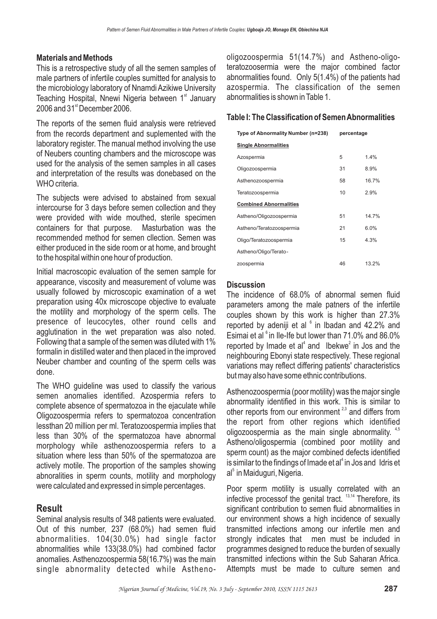### **Materials and Methods**

This is a retrospective study of all the semen samples of male partners of infertile couples sumitted for analysis to the microbiology laboratory of Nnamdi Azikiwe University Teaching Hospital, Nnewi Nigeria between 1<sup>st</sup> January  $2006$  and  $31<sup>st</sup>$  December 2006.

The reports of the semen fluid analysis were retrieved from the records department and suplemented with the laboratory register. The manual method involving the use of Neubers counting chambers and the microscope was used for the analysis of the semen samples in all cases and interpretation of the results was donebased on the WHO criteria.

The subjects were advised to abstained from sexual intercourse for 3 days before semen collection and they were provided with wide mouthed, sterile specimen containers for that purpose. Masturbation was the recommended method for semen cllection. Semen was either produced in the side room or at home, and brought to the hospital within one hour of production.

Initial macroscopic evaluation of the semen sample for appearance, viscosity and measurement of volume was usually followed by microscopic examination of a wet preparation using 40x microscope objective to evaluate the motility and morphology of the sperm cells. The presence of leucocytes, other round cells and agglutination in the wet preparation was also noted. Following that a sample of the semen was diluted with 1% formalin in distilled water and then placed in the improved Neuber chamber and counting of the sperm cells was done.

The WHO guideline was used to classify the various semen anomalies identified. Azospermia refers to complete absence of spermatozoa in the ejaculate while Oligozoospermia refers to spermatozoa concentration lessthan 20 million per ml. Teratozoospermia implies that less than 30% of the spermatozoa have abnormal morphology while asthenozoospermia refers to a situation where less than 50% of the spermatozoa are actively motile. The proportion of the samples showing abnoralities in sperm counts, motility and morphology were calculated and expressed in simple percentages.

## **Result**

Seminal analysis results of 348 patients were evaluated. Out of this number, 237 (68.0%) had semen fluid abnormalities. 104(30.0%) had single factor abnormalities while 133(38.0%) had combined factor anomalies. Asthenozoospermia 58(16.7%) was the main single abnormality detected while Asthenooligozoospermia 51(14.7%) and Astheno-oligoteratozoosermia were the major combined factor abnormalities found. Only 5(1.4%) of the patients had azospermia. The classification of the semen abnormalities is shown in Table 1.

### **Table I: The Classification of SemenAbnormalities**

| Type of Abnormality Number (n=238) | percentage |       |
|------------------------------------|------------|-------|
| <b>Single Abnormalities</b>        |            |       |
| Azospermia                         | 5          | 1.4%  |
| Oligozoospermia                    | 31         | 8.9%  |
| Asthenozoospermia                  | 58         | 16.7% |
| Teratozoospermia                   | 10         | 2.9%  |
| <b>Combined Abnormalities</b>      |            |       |
| Astheno/Oligozoospermia            | 51         | 14.7% |
| Astheno/Teratozoospermia           | 21         | 6.0%  |
| Oligo/Teratozoospermia             | 15         | 4.3%  |
| Astheno/Oligo/Terato-              |            |       |
| zoospermia                         | 46         | 13.2% |

### **Discussion**

The incidence of 68.0% of abnormal semen fluid parameters among the male patners of the infertile couples shown by this work is higher than 27.3% reported by adeniji et al  $6$  in Ibadan and 42.2% and Esimai et al  $\textdegree$  in Ile-Ife but lower than 71.0% and 86.0% reported by Imade et al<sup>4</sup> and Ibekwe<sup>2</sup> in Jos and the neighbouring Ebonyi state respectively. These regional variations may reflect differing patients' characteristics but may also have some ethnic contributions.

Asthenozoospermia (poor motility) was the major single abnormality identified in this work. This is similar to other reports from our environment<sup>2,3</sup> and differs from the report from other regions which identified oligozoospermia as the main single abnormality. 4,5 Astheno/oligospermia (combined poor motility and sperm count) as the major combined defects identified is similar to the findings of Imade et al $^4$  in Jos and Idris et al<sup>5</sup> in Maiduguri, Nigeria.

Poor sperm motility is usually correlated with an infective processof the genital tract.  $13,14$  Therefore, its significant contribution to semen fluid abnormalities in our environment shows a high incidence of sexually transmitted infections among our infertile men and strongly indicates that men must be included in programmes designed to reduce the burden of sexually transmitted infections within the Sub Saharan Africa. Attempts must be made to culture semen and